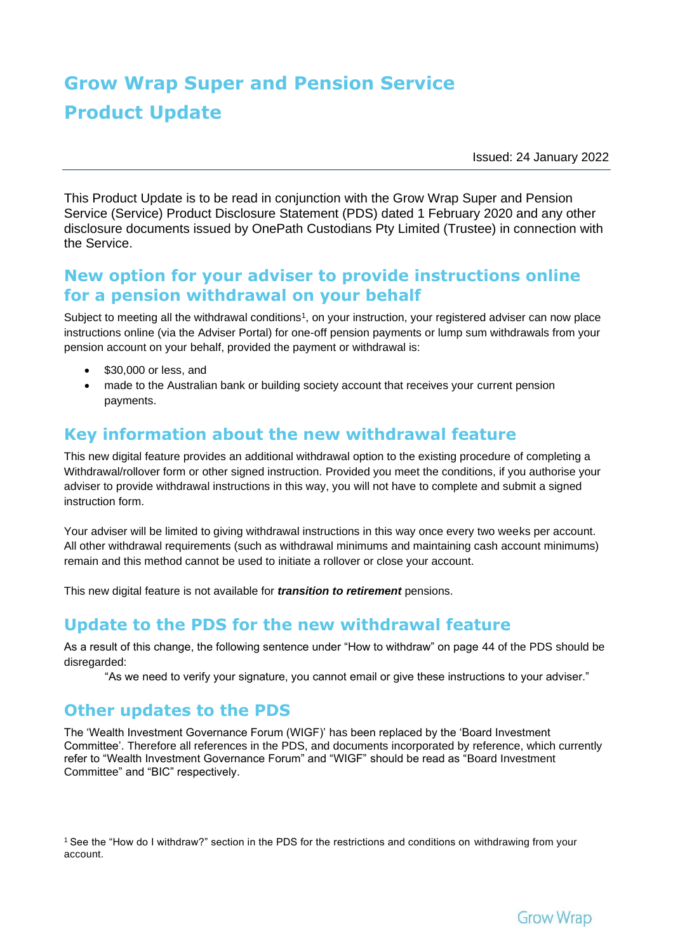# **Grow Wrap Super and Pension Service Product Update**

Issued: 24 January 2022

This Product Update is to be read in conjunction with the Grow Wrap Super and Pension Service (Service) Product Disclosure Statement (PDS) dated 1 February 2020 and any other disclosure documents issued by OnePath Custodians Pty Limited (Trustee) in connection with the Service.

### **New option for your adviser to provide instructions online for a pension withdrawal on your behalf**

Subject to meeting all the withdrawal conditions1, on your instruction, your registered adviser can now place instructions online (via the Adviser Portal) for one-off pension payments or lump sum withdrawals from your pension account on your behalf, provided the payment or withdrawal is:

- \$30,000 or less, and
- made to the Australian bank or building society account that receives your current pension payments.

#### **Key information about the new withdrawal feature**

This new digital feature provides an additional withdrawal option to the existing procedure of completing a Withdrawal/rollover form or other signed instruction. Provided you meet the conditions, if you authorise your adviser to provide withdrawal instructions in this way, you will not have to complete and submit a signed instruction form.

Your adviser will be limited to giving withdrawal instructions in this way once every two weeks per account. All other withdrawal requirements (such as withdrawal minimums and maintaining cash account minimums) remain and this method cannot be used to initiate a rollover or close your account.

This new digital feature is not available for *transition to retirement* pensions.

#### **Update to the PDS for the new withdrawal feature**

As a result of this change, the following sentence under "How to withdraw" on page 44 of the PDS should be disregarded:

"As we need to verify your signature, you cannot email or give these instructions to your adviser."

#### **Other updates to the PDS**

The 'Wealth Investment Governance Forum (WIGF)' has been replaced by the 'Board Investment Committee'. Therefore all references in the PDS, and documents incorporated by reference, which currently refer to "Wealth Investment Governance Forum" and "WIGF" should be read as "Board Investment Committee" and "BIC" respectively.

<sup>1</sup>See the "How do I withdraw?" section in the PDS for the restrictions and conditions on withdrawing from your account.